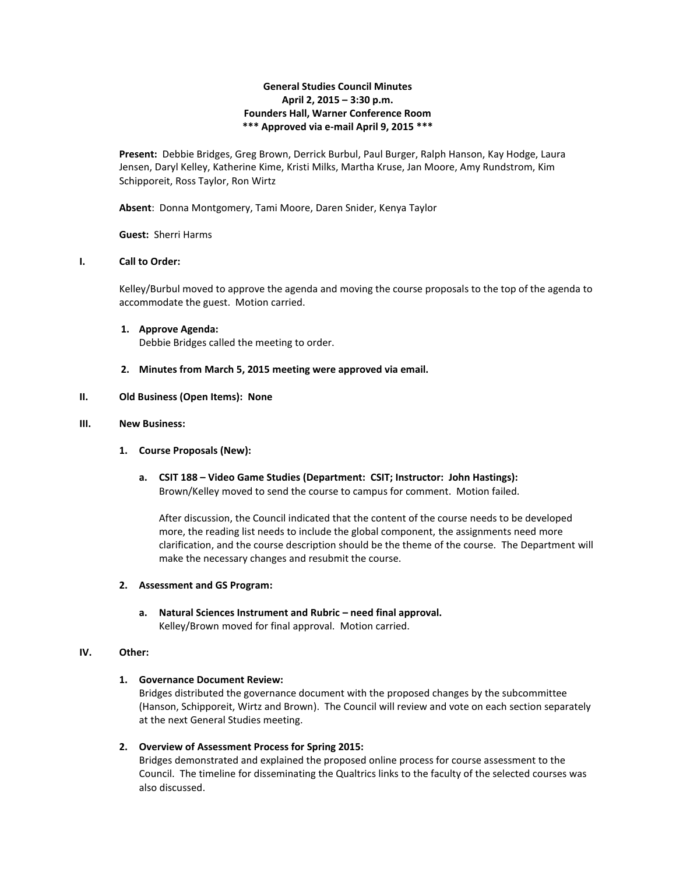# **General Studies Council Minutes April 2, 2015 – 3:30 p.m. Founders Hall, Warner Conference Room \*\*\* Approved via e-mail April 9, 2015 \*\*\***

**Present:** Debbie Bridges, Greg Brown, Derrick Burbul, Paul Burger, Ralph Hanson, Kay Hodge, Laura Jensen, Daryl Kelley, Katherine Kime, Kristi Milks, Martha Kruse, Jan Moore, Amy Rundstrom, Kim Schipporeit, Ross Taylor, Ron Wirtz

**Absent**: Donna Montgomery, Tami Moore, Daren Snider, Kenya Taylor

**Guest:** Sherri Harms

## **I. Call to Order:**

Kelley/Burbul moved to approve the agenda and moving the course proposals to the top of the agenda to accommodate the guest. Motion carried.

- **1. Approve Agenda:** Debbie Bridges called the meeting to order.
- **2. Minutes from March 5, 2015 meeting were approved via email.**

## **II. Old Business (Open Items): None**

#### **III. New Business:**

- **1. Course Proposals (New):**
	- **a. CSIT 188 – Video Game Studies (Department: CSIT; Instructor: John Hastings):** Brown/Kelley moved to send the course to campus for comment. Motion failed.

After discussion, the Council indicated that the content of the course needs to be developed more, the reading list needs to include the global component, the assignments need more clarification, and the course description should be the theme of the course. The Department will make the necessary changes and resubmit the course.

#### **2. Assessment and GS Program:**

**a. Natural Sciences Instrument and Rubric – need final approval.** Kelley/Brown moved for final approval. Motion carried.

#### **IV. Other:**

# **1. Governance Document Review:**

Bridges distributed the governance document with the proposed changes by the subcommittee (Hanson, Schipporeit, Wirtz and Brown). The Council will review and vote on each section separately at the next General Studies meeting.

**2. Overview of Assessment Process for Spring 2015:**

Bridges demonstrated and explained the proposed online process for course assessment to the Council. The timeline for disseminating the Qualtrics links to the faculty of the selected courses was also discussed.